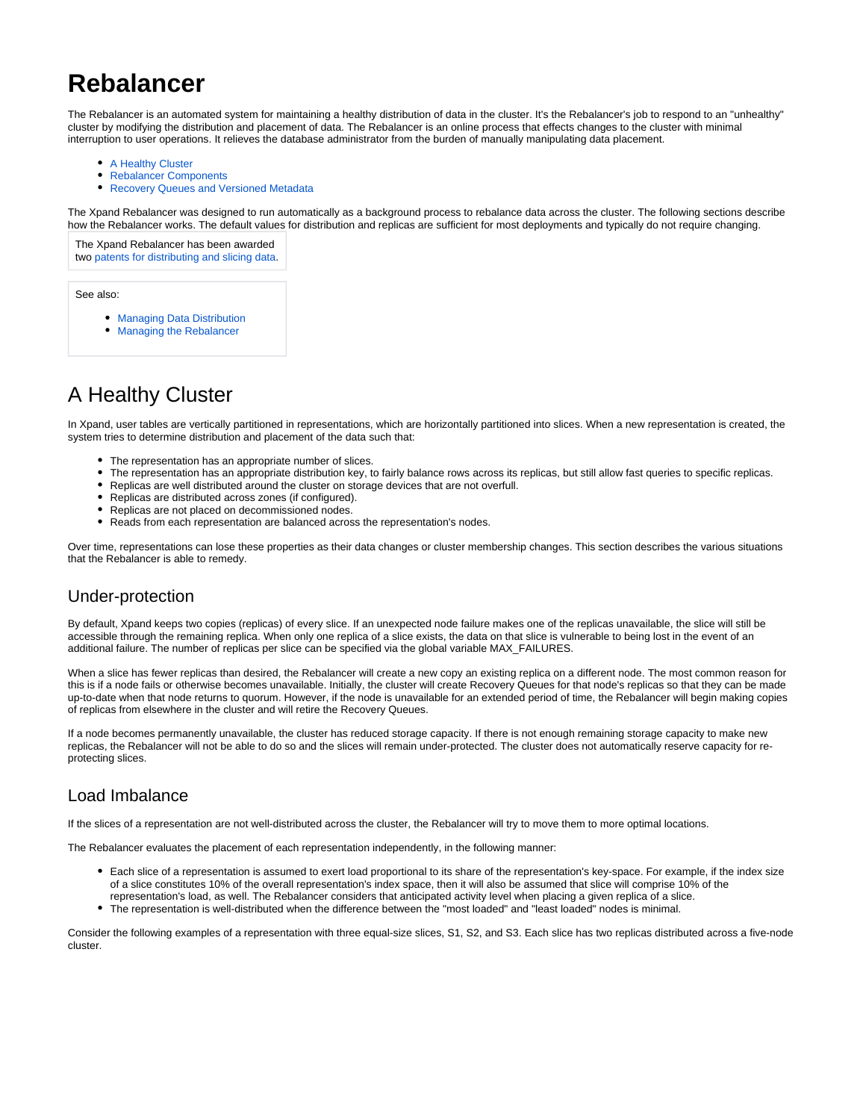# **Rebalancer**

The Rebalancer is an automated system for maintaining a healthy distribution of data in the cluster. It's the Rebalancer's job to respond to an "unhealthy" cluster by modifying the distribution and placement of data. The Rebalancer is an online process that effects changes to the cluster with minimal interruption to user operations. It relieves the database administrator from the burden of manually manipulating data placement.

- [A Healthy Cluster](#page-0-0)
- [Rebalancer Components](#page-2-0)
- [Recovery Queues and Versioned Metadata](#page-4-0)

The Xpand Rebalancer was designed to run automatically as a background process to rebalance data across the cluster. The following sections describe how the Rebalancer works. The default values for distribution and replicas are sufficient for most deployments and typically do not require changing.

The Xpand Rebalancer has been awarded two [patents for distributing and slicing data](http://www.clustrix.com/press-release/clustrix-awarded-u-s-patent-improved-systems-methods-database-replay-rdbms/).

See also:

- [Managing Data Distribution](https://docs.clustrix.com/display/CLXDOC/Managing+Data+Distribution)
- [Managing the Rebalancer](https://docs.clustrix.com/display/CLXDOC/Managing+the+Rebalancer)

# <span id="page-0-0"></span>A Healthy Cluster

In Xpand, user tables are vertically partitioned in representations, which are horizontally partitioned into slices. When a new representation is created, the system tries to determine distribution and placement of the data such that:

- The representation has an appropriate number of slices.
- The representation has an appropriate distribution key, to fairly balance rows across its replicas, but still allow fast queries to specific replicas.
- $\bullet$ Replicas are well distributed around the cluster on storage devices that are not overfull.
- Replicas are distributed across zones (if configured).
- Replicas are not placed on decommissioned nodes.
- $\bullet$ Reads from each representation are balanced across the representation's nodes.

Over time, representations can lose these properties as their data changes or cluster membership changes. This section describes the various situations that the Rebalancer is able to remedy.

## Under-protection

By default, Xpand keeps two copies (replicas) of every slice. If an unexpected node failure makes one of the replicas unavailable, the slice will still be accessible through the remaining replica. When only one replica of a slice exists, the data on that slice is vulnerable to being lost in the event of an additional failure. The number of replicas per slice can be specified via the global variable MAX\_FAILURES.

When a slice has fewer replicas than desired, the Rebalancer will create a new copy an existing replica on a different node. The most common reason for this is if a node fails or otherwise becomes unavailable. Initially, the cluster will create Recovery Queues for that node's replicas so that they can be made up-to-date when that node returns to quorum. However, if the node is unavailable for an extended period of time, the Rebalancer will begin making copies of replicas from elsewhere in the cluster and will retire the Recovery Queues.

If a node becomes permanently unavailable, the cluster has reduced storage capacity. If there is not enough remaining storage capacity to make new replicas, the Rebalancer will not be able to do so and the slices will remain under-protected. The cluster does not automatically reserve capacity for reprotecting slices.

## Load Imbalance

If the slices of a representation are not well-distributed across the cluster, the Rebalancer will try to move them to more optimal locations.

The Rebalancer evaluates the placement of each representation independently, in the following manner:

- Each slice of a representation is assumed to exert load proportional to its share of the representation's key-space. For example, if the index size of a slice constitutes 10% of the overall representation's index space, then it will also be assumed that slice will comprise 10% of the representation's load, as well. The Rebalancer considers that anticipated activity level when placing a given replica of a slice.
- The representation is well-distributed when the difference between the "most loaded" and "least loaded" nodes is minimal.

Consider the following examples of a representation with three equal-size slices, S1, S2, and S3. Each slice has two replicas distributed across a five-node cluster.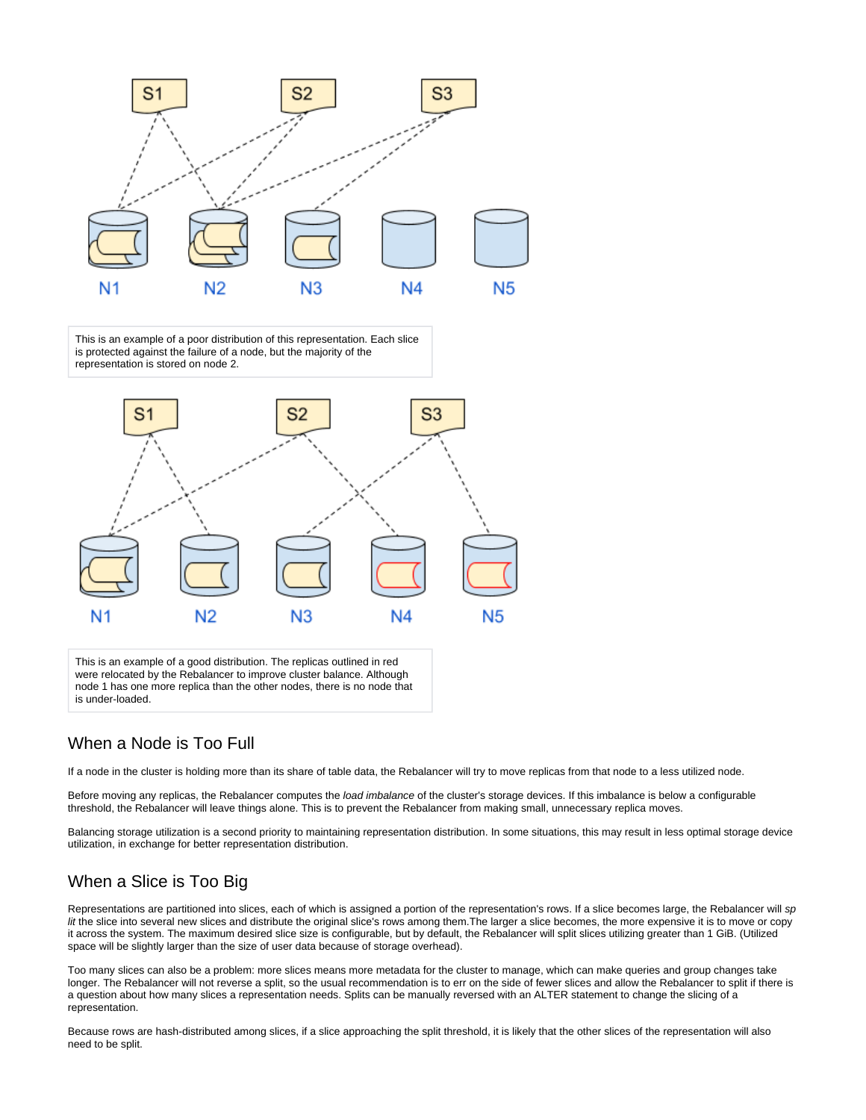

This is an example of a poor distribution of this representation. Each slice is protected against the failure of a node, but the majority of the representation is stored on node 2.



This is an example of a good distribution. The replicas outlined in red were relocated by the Rebalancer to improve cluster balance. Although node 1 has one more replica than the other nodes, there is no node that is under-loaded.

### When a Node is Too Full

If a node in the cluster is holding more than its share of table data, the Rebalancer will try to move replicas from that node to a less utilized node.

Before moving any replicas, the Rebalancer computes the load imbalance of the cluster's storage devices. If this imbalance is below a configurable threshold, the Rebalancer will leave things alone. This is to prevent the Rebalancer from making small, unnecessary replica moves.

Balancing storage utilization is a second priority to maintaining representation distribution. In some situations, this may result in less optimal storage device utilization, in exchange for better representation distribution.

## When a Slice is Too Big

Representations are partitioned into slices, each of which is assigned a portion of the representation's rows. If a slice becomes large, the Rebalancer will sp lit the slice into several new slices and distribute the original slice's rows among them. The larger a slice becomes, the more expensive it is to move or copy it across the system. The maximum desired slice size is configurable, but by default, the Rebalancer will split slices utilizing greater than 1 GiB. (Utilized space will be slightly larger than the size of user data because of storage overhead).

Too many slices can also be a problem: more slices means more metadata for the cluster to manage, which can make queries and group changes take longer. The Rebalancer will not reverse a split, so the usual recommendation is to err on the side of fewer slices and allow the Rebalancer to split if there is a question about how many slices a representation needs. Splits can be manually reversed with an ALTER statement to change the slicing of a representation.

Because rows are hash-distributed among slices, if a slice approaching the split threshold, it is likely that the other slices of the representation will also need to be split.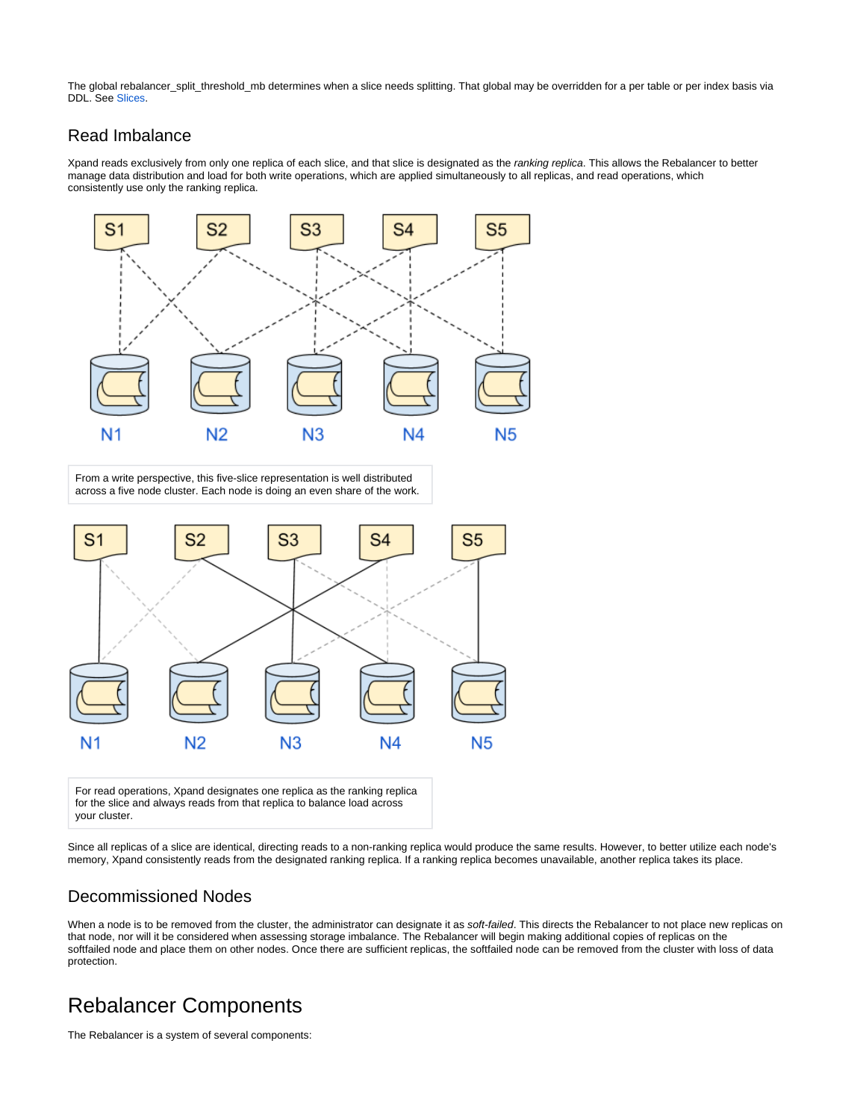The global rebalancer\_split\_threshold\_mb determines when a slice needs splitting. That global may be overridden for a per table or per index basis via DDL. See [Slices.](https://docs.clustrix.com/display/CLXDOC/SLICES)

## Read Imbalance

Xpand reads exclusively from only one replica of each slice, and that slice is designated as the ranking replica. This allows the Rebalancer to better manage data distribution and load for both write operations, which are applied simultaneously to all replicas, and read operations, which consistently use only the ranking replica.



From a write perspective, this five-slice representation is well distributed across a five node cluster. Each node is doing an even share of the work.



For read operations, Xpand designates one replica as the ranking replica for the slice and always reads from that replica to balance load across your cluster.

Since all replicas of a slice are identical, directing reads to a non-ranking replica would produce the same results. However, to better utilize each node's memory, Xpand consistently reads from the designated ranking replica. If a ranking replica becomes unavailable, another replica takes its place.

## Decommissioned Nodes

When a node is to be removed from the cluster, the administrator can designate it as soft-failed. This directs the Rebalancer to not place new replicas on that node, nor will it be considered when assessing storage imbalance. The Rebalancer will begin making additional copies of replicas on the softfailed node and place them on other nodes. Once there are sufficient replicas, the softfailed node can be removed from the cluster with loss of data protection.

## <span id="page-2-0"></span>Rebalancer Components

The Rebalancer is a system of several components: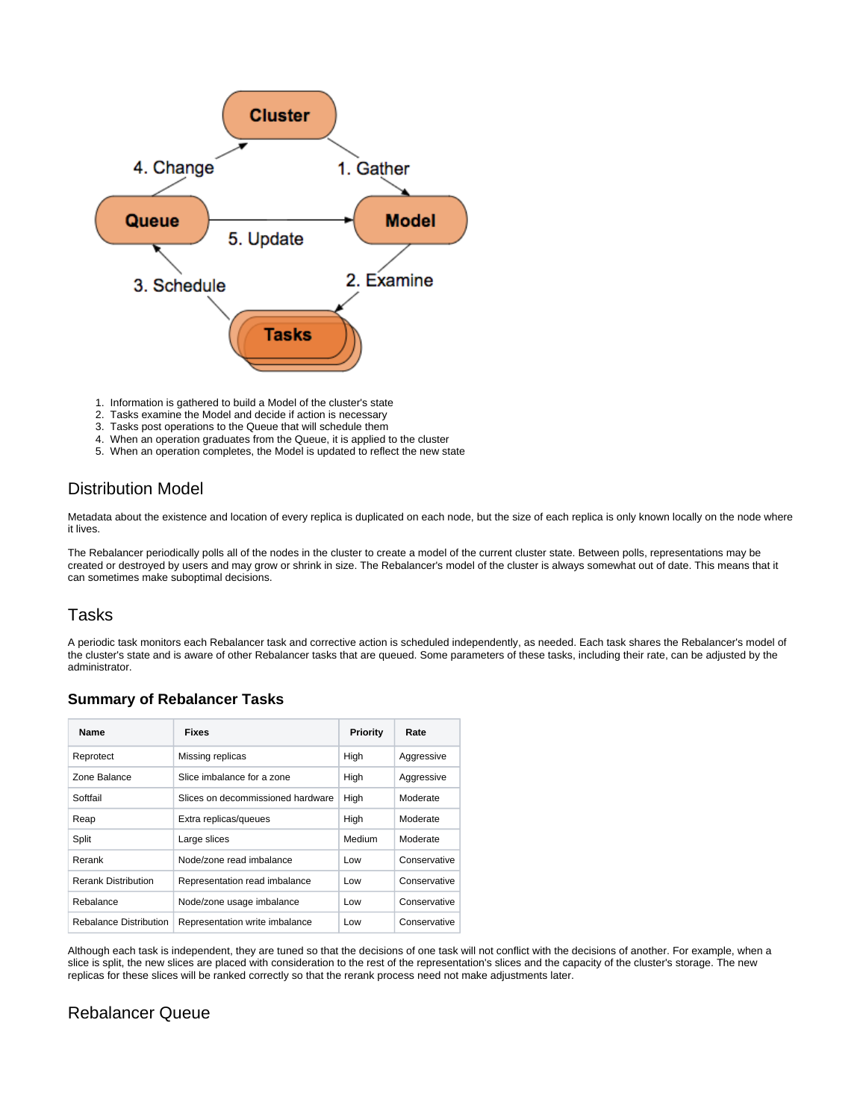

1. Information is gathered to build a Model of the cluster's state

- 2. Tasks examine the Model and decide if action is necessary
- 3. Tasks post operations to the Queue that will schedule them
- 4. When an operation graduates from the Queue, it is applied to the cluster
- 5. When an operation completes, the Model is updated to reflect the new state

## Distribution Model

Metadata about the existence and location of every replica is duplicated on each node, but the size of each replica is only known locally on the node where it lives.

The Rebalancer periodically polls all of the nodes in the cluster to create a model of the current cluster state. Between polls, representations may be created or destroyed by users and may grow or shrink in size. The Rebalancer's model of the cluster is always somewhat out of date. This means that it can sometimes make suboptimal decisions.

### Tasks

A periodic task monitors each Rebalancer task and corrective action is scheduled independently, as needed. Each task shares the Rebalancer's model of the cluster's state and is aware of other Rebalancer tasks that are queued. Some parameters of these tasks, including their rate, can be adjusted by the administrator.

| <b>Name</b>                   | <b>Fixes</b>                      | <b>Priority</b> | Rate         |
|-------------------------------|-----------------------------------|-----------------|--------------|
| Reprotect                     | Missing replicas                  | High            | Aggressive   |
| Zone Balance                  | Slice imbalance for a zone        | High            | Aggressive   |
| Softfail                      | Slices on decommissioned hardware | High            | Moderate     |
| Reap                          | Extra replicas/queues             | High            | Moderate     |
| Split                         | Large slices                      | Medium          | Moderate     |
| Rerank                        | Node/zone read imbalance          | Low             | Conservative |
| <b>Rerank Distribution</b>    | Representation read imbalance     | Low             | Conservative |
| Rebalance                     | Node/zone usage imbalance         | Low             | Conservative |
| <b>Rebalance Distribution</b> | Representation write imbalance    | Low             | Conservative |

#### **Summary of Rebalancer Tasks**

Although each task is independent, they are tuned so that the decisions of one task will not conflict with the decisions of another. For example, when a slice is split, the new slices are placed with consideration to the rest of the representation's slices and the capacity of the cluster's storage. The new replicas for these slices will be ranked correctly so that the rerank process need not make adjustments later.

### Rebalancer Queue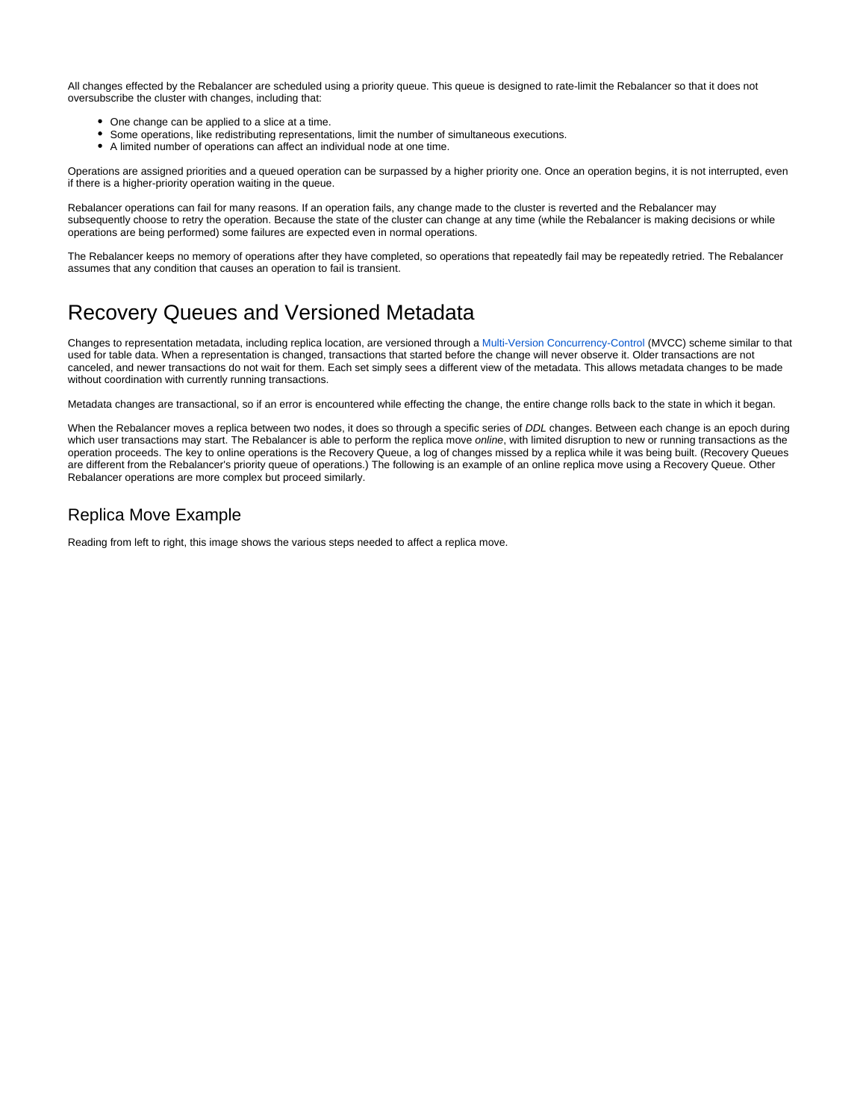All changes effected by the Rebalancer are scheduled using a priority queue. This queue is designed to rate-limit the Rebalancer so that it does not oversubscribe the cluster with changes, including that:

- One change can be applied to a slice at a time.
- Some operations, like redistributing representations, limit the number of simultaneous executions.
- A limited number of operations can affect an individual node at one time.

Operations are assigned priorities and a queued operation can be surpassed by a higher priority one. Once an operation begins, it is not interrupted, even if there is a higher-priority operation waiting in the queue.

Rebalancer operations can fail for many reasons. If an operation fails, any change made to the cluster is reverted and the Rebalancer may subsequently choose to retry the operation. Because the state of the cluster can change at any time (while the Rebalancer is making decisions or while operations are being performed) some failures are expected even in normal operations.

The Rebalancer keeps no memory of operations after they have completed, so operations that repeatedly fail may be repeatedly retried. The Rebalancer assumes that any condition that causes an operation to fail is transient.

## <span id="page-4-0"></span>Recovery Queues and Versioned Metadata

Changes to representation metadata, including replica location, are versioned through a [Multi-Version Concurrency-Control](https://docs.clustrix.com/display/CLXDOC/Concurrency+Control) (MVCC) scheme similar to that used for table data. When a representation is changed, transactions that started before the change will never observe it. Older transactions are not canceled, and newer transactions do not wait for them. Each set simply sees a different view of the metadata. This allows metadata changes to be made without coordination with currently running transactions.

Metadata changes are transactional, so if an error is encountered while effecting the change, the entire change rolls back to the state in which it began.

When the Rebalancer moves a replica between two nodes, it does so through a specific series of DDL changes. Between each change is an epoch during which user transactions may start. The Rebalancer is able to perform the replica move online, with limited disruption to new or running transactions as the operation proceeds. The key to online operations is the Recovery Queue, a log of changes missed by a replica while it was being built. (Recovery Queues are different from the Rebalancer's priority queue of operations.) The following is an example of an online replica move using a Recovery Queue. Other Rebalancer operations are more complex but proceed similarly.

## Replica Move Example

Reading from left to right, this image shows the various steps needed to affect a replica move.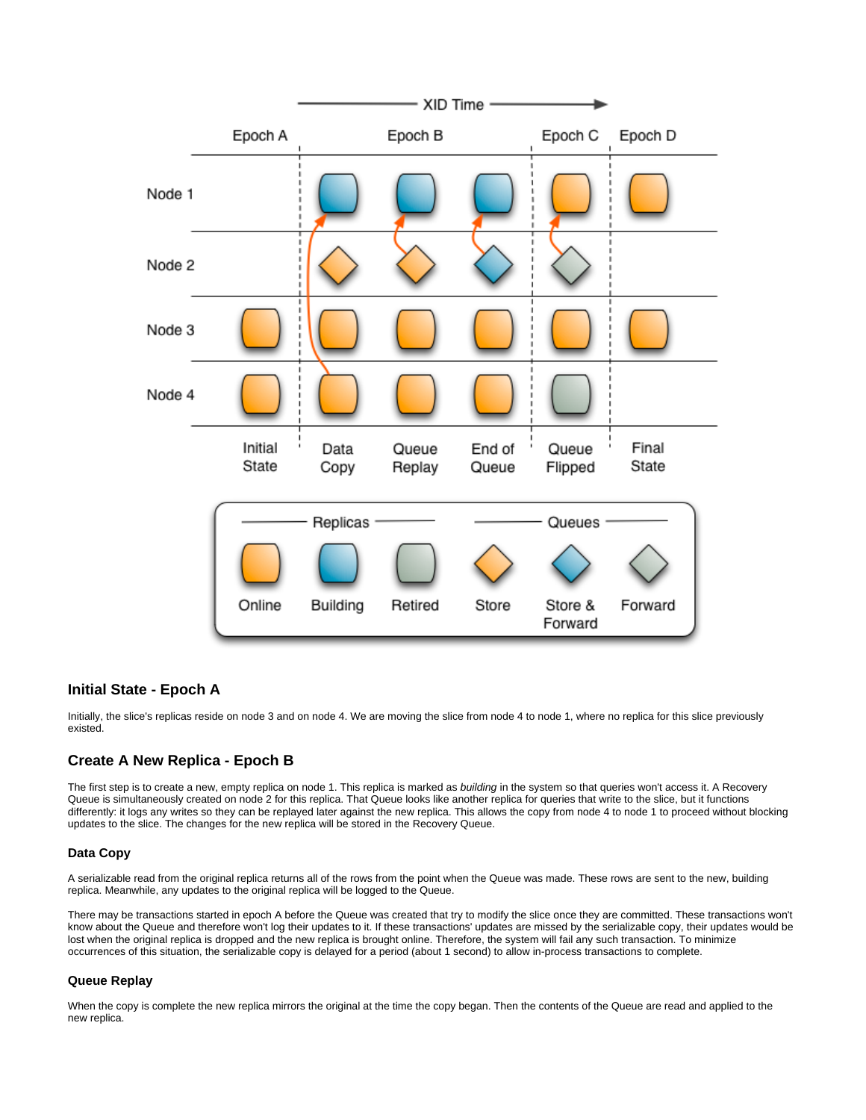

#### **Initial State - Epoch A**

Initially, the slice's replicas reside on node 3 and on node 4. We are moving the slice from node 4 to node 1, where no replica for this slice previously existed.

#### **Create A New Replica - Epoch B**

The first step is to create a new, empty replica on node 1. This replica is marked as building in the system so that queries won't access it. A Recovery Queue is simultaneously created on node 2 for this replica. That Queue looks like another replica for queries that write to the slice, but it functions differently: it logs any writes so they can be replayed later against the new replica. This allows the copy from node 4 to node 1 to proceed without blocking updates to the slice. The changes for the new replica will be stored in the Recovery Queue.

#### **Data Copy**

A serializable read from the original replica returns all of the rows from the point when the Queue was made. These rows are sent to the new, building replica. Meanwhile, any updates to the original replica will be logged to the Queue.

There may be transactions started in epoch A before the Queue was created that try to modify the slice once they are committed. These transactions won't know about the Queue and therefore won't log their updates to it. If these transactions' updates are missed by the serializable copy, their updates would be lost when the original replica is dropped and the new replica is brought online. Therefore, the system will fail any such transaction. To minimize occurrences of this situation, the serializable copy is delayed for a period (about 1 second) to allow in-process transactions to complete.

#### **Queue Replay**

When the copy is complete the new replica mirrors the original at the time the copy began. Then the contents of the Queue are read and applied to the new replica.